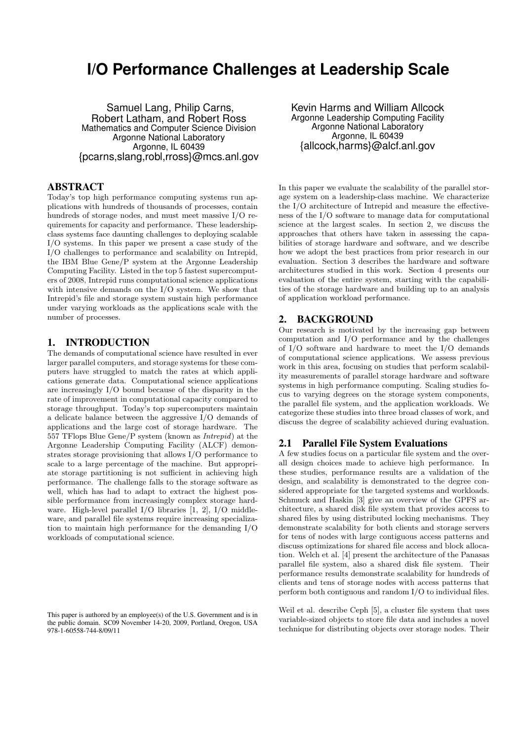# **I/O Performance Challenges at Leadership Scale**

Samuel Lang, Philip Carns, Robert Latham, and Robert Ross Mathematics and Computer Science Division Argonne National Laboratory Argonne, IL 60439 {pcarns,slang,robl,rross}@mcs.anl.gov

# ABSTRACT

Today's top high performance computing systems run applications with hundreds of thousands of processes, contain hundreds of storage nodes, and must meet massive I/O requirements for capacity and performance. These leadershipclass systems face daunting challenges to deploying scalable I/O systems. In this paper we present a case study of the I/O challenges to performance and scalability on Intrepid, the IBM Blue Gene/P system at the Argonne Leadership Computing Facility. Listed in the top 5 fastest supercomputers of 2008, Intrepid runs computational science applications with intensive demands on the I/O system. We show that Intrepid's file and storage system sustain high performance under varying workloads as the applications scale with the number of processes.

### 1. INTRODUCTION

The demands of computational science have resulted in ever larger parallel computers, and storage systems for these computers have struggled to match the rates at which applications generate data. Computational science applications are increasingly I/O bound because of the disparity in the rate of improvement in computational capacity compared to storage throughput. Today's top supercomputers maintain a delicate balance between the aggressive I/O demands of applications and the large cost of storage hardware. The 557 TFlops Blue Gene/P system (known as Intrepid) at the Argonne Leadership Computing Facility (ALCF) demonstrates storage provisioning that allows I/O performance to scale to a large percentage of the machine. But appropriate storage partitioning is not sufficient in achieving high performance. The challenge falls to the storage software as well, which has had to adapt to extract the highest possible performance from increasingly complex storage hardware. High-level parallel I/O libraries [1, 2], I/O middleware, and parallel file systems require increasing specialization to maintain high performance for the demanding I/O workloads of computational science.

Kevin Harms and William Allcock Argonne Leadership Computing Facility Argonne National Laboratory Argonne, IL 60439 {allcock,harms}@alcf.anl.gov

In this paper we evaluate the scalability of the parallel storage system on a leadership-class machine. We characterize the I/O architecture of Intrepid and measure the effectiveness of the I/O software to manage data for computational science at the largest scales. In section 2, we discuss the approaches that others have taken in assessing the capabilities of storage hardware and software, and we describe how we adopt the best practices from prior research in our evaluation. Section 3 describes the hardware and software architectures studied in this work. Section 4 presents our evaluation of the entire system, starting with the capabilities of the storage hardware and building up to an analysis of application workload performance.

### 2. BACKGROUND

Our research is motivated by the increasing gap between computation and I/O performance and by the challenges of I/O software and hardware to meet the I/O demands of computational science applications. We assess previous work in this area, focusing on studies that perform scalability measurements of parallel storage hardware and software systems in high performance computing. Scaling studies focus to varying degrees on the storage system components, the parallel file system, and the application workloads. We categorize these studies into three broad classes of work, and discuss the degree of scalability achieved during evaluation.

#### 2.1 Parallel File System Evaluations

A few studies focus on a particular file system and the overall design choices made to achieve high performance. In these studies, performance results are a validation of the design, and scalability is demonstrated to the degree considered appropriate for the targeted systems and workloads. Schmuck and Haskin [3] give an overview of the GPFS architecture, a shared disk file system that provides access to shared files by using distributed locking mechanisms. They demonstrate scalability for both clients and storage servers for tens of nodes with large contiguous access patterns and discuss optimizations for shared file access and block allocation. Welch et al. [4] present the architecture of the Panasas parallel file system, also a shared disk file system. Their performance results demonstrate scalability for hundreds of clients and tens of storage nodes with access patterns that perform both contiguous and random I/O to individual files.

Weil et al. describe Ceph [5], a cluster file system that uses variable-sized objects to store file data and includes a novel technique for distributing objects over storage nodes. Their

This paper is authored by an employee(s) of the U.S. Government and is in the public domain. SC09 November 14-20, 2009, Portland, Oregon, USA 978-1-60558-744-8/09/11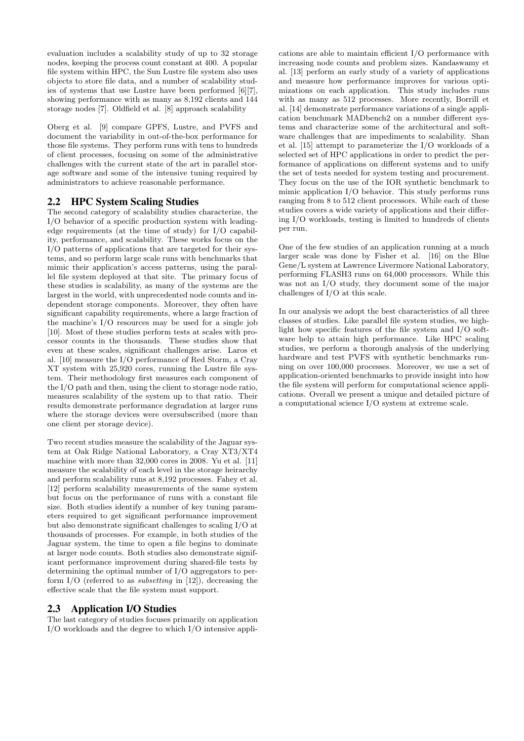evaluation includes a scalability study of up to 32 storage nodes, keeping the process count constant at 400. A popular file system within HPC, the Sun Lustre file system also uses objects to store file data, and a number of scalability studies of systems that use Lustre have been performed [6][7], showing performance with as many as 8,192 clients and 144 storage nodes [7]. Oldfield et al. [8] approach scalability

Oberg et al. [9] compare GPFS, Lustre, and PVFS and document the variability in out-of-the-box performance for those file systems. They perform runs with tens to hundreds of client processes, focusing on some of the administrative challenges with the current state of the art in parallel storage software and some of the intensive tuning required by administrators to achieve reasonable performance.

# 2.2 HPC System Scaling Studies

The second category of scalability studies characterize, the I/O behavior of a specific production system with leadingedge requirements (at the time of study) for I/O capability, performance, and scalability. These works focus on the I/O patterns of applications that are targeted for their systems, and so perform large scale runs with benchmarks that mimic their application's access patterns, using the parallel file system deployed at that site. The primary focus of these studies is scalability, as many of the systems are the largest in the world, with unprecedented node counts and independent storage components. Moreover, they often have significant capability requirements, where a large fraction of the machine's I/O resources may be used for a single job [10]. Most of these studies perform tests at scales with processor counts in the thousands. These studies show that even at these scales, significant challenges arise. Laros et al. [10] measure the I/O performance of Red Storm, a Cray XT system with 25,920 cores, running the Lustre file system. Their methodology first measures each component of the I/O path and then, using the client to storage node ratio, measures scalability of the system up to that ratio. Their results demonstrate performance degradation at larger runs where the storage devices were oversubscribed (more than one client per storage device).

Two recent studies measure the scalability of the Jaguar system at Oak Ridge National Laboratory, a Cray XT3/XT4 machine with more than 32,000 cores in 2008. Yu et al. [11] measure the scalability of each level in the storage heirarchy and perform scalability runs at 8,192 processes. Fahey et al. [12] perform scalability measurements of the same system but focus on the performance of runs with a constant file size. Both studies identify a number of key tuning parameters required to get significant performance improvement but also demonstrate significant challenges to scaling I/O at thousands of processes. For example, in both studies of the Jaguar system, the time to open a file begins to dominate at larger node counts. Both studies also demonstrate significant performance improvement during shared-file tests by determining the optimal number of I/O aggregators to perform I/O (referred to as subsetting in [12]), decreasing the effective scale that the file system must support.

# 2.3 Application I/O Studies

The last category of studies focuses primarily on application I/O workloads and the degree to which I/O intensive appli-

cations are able to maintain efficient I/O performance with increasing node counts and problem sizes. Kandaswamy et al. [13] perform an early study of a variety of applications and measure how performance improves for various optimizations on each application. This study includes runs with as many as 512 processes. More recently, Borrill et al. [14] demonstrate performance variations of a single application benchmark MADbench2 on a number different systems and characterize some of the architectural and software challenges that are impediments to scalability. Shan et al. [15] attempt to parameterize the I/O workloads of a selected set of HPC applications in order to predict the performance of applications on different systems and to unify the set of tests needed for system testing and procurement. They focus on the use of the IOR synthetic benchmark to mimic application I/O behavior. This study performs runs ranging from 8 to 512 client processors. While each of these studies covers a wide variety of applications and their differing I/O workloads, testing is limited to hundreds of clients per run.

One of the few studies of an application running at a much larger scale was done by Fisher et al. [16] on the Blue Gene/L system at Lawrence Livermore National Laboratory, performing FLASH3 runs on 64,000 processors. While this was not an I/O study, they document some of the major challenges of I/O at this scale.

In our analysis we adopt the best characteristics of all three classes of studies. Like parallel file system studies, we highlight how specific features of the file system and I/O software help to attain high performance. Like HPC scaling studies, we perform a thorough analysis of the underlying hardware and test PVFS with synthetic benchmarks running on over 100,000 processes. Moreover, we use a set of application-oriented benchmarks to provide insight into how the file system will perform for computational science applications. Overall we present a unique and detailed picture of a computational science I/O system at extreme scale.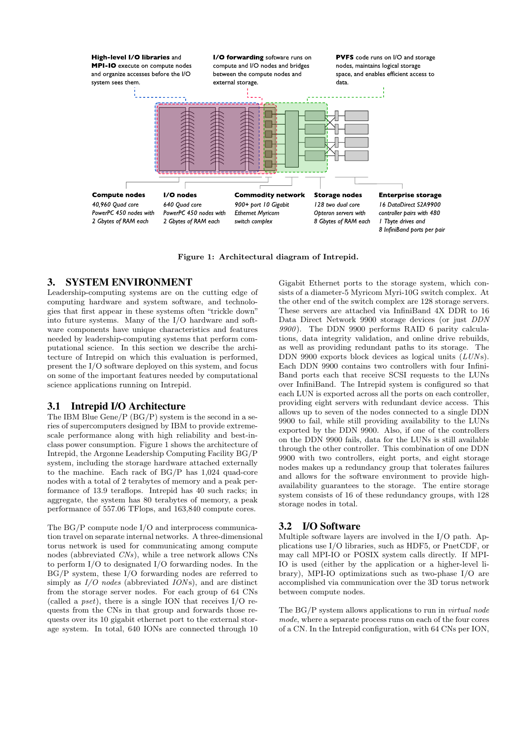

Figure 1: Architectural diagram of Intrepid.

#### 3. SYSTEM ENVIRONMENT

Leadership-computing systems are on the cutting edge of computing hardware and system software, and technologies that first appear in these systems often "trickle down" into future systems. Many of the I/O hardware and software components have unique characteristics and features needed by leadership-computing systems that perform computational science. In this section we describe the architecture of Intrepid on which this evaluation is performed, present the I/O software deployed on this system, and focus on some of the important features needed by computational science applications running on Intrepid.

#### 3.1 Intrepid I/O Architecture

The IBM Blue Gene/P (BG/P) system is the second in a series of supercomputers designed by IBM to provide extremescale performance along with high reliability and best-inclass power consumption. Figure 1 shows the architecture of Intrepid, the Argonne Leadership Computing Facility BG/P system, including the storage hardware attached externally to the machine. Each rack of BG/P has 1,024 quad-core nodes with a total of 2 terabytes of memory and a peak performance of 13.9 teraflops. Intrepid has 40 such racks; in aggregate, the system has 80 terabytes of memory, a peak performance of 557.06 TFlops, and 163,840 compute cores.

The BG/P compute node I/O and interprocess communication travel on separate internal networks. A three-dimensional torus network is used for communicating among compute nodes (abbreviated CNs), while a tree network allows CNs to perform I/O to designated I/O forwarding nodes. In the BG/P system, these I/O forwarding nodes are referred to simply as  $I/O$  nodes (abbreviated  $IONs$ ), and are distinct from the storage server nodes. For each group of 64 CNs (called a pset), there is a single ION that receives I/O requests from the CNs in that group and forwards those requests over its 10 gigabit ethernet port to the external storage system. In total, 640 IONs are connected through 10

Gigabit Ethernet ports to the storage system, which consists of a diameter-5 Myricom Myri-10G switch complex. At the other end of the switch complex are 128 storage servers. These servers are attached via InfiniBand 4X DDR to 16 Data Direct Network 9900 storage devices (or just DDN 9900). The DDN 9900 performs RAID 6 parity calculations, data integrity validation, and online drive rebuilds, as well as providing redundant paths to its storage. The DDN 9900 exports block devices as logical units  $(LUNs)$ . Each DDN 9900 contains two controllers with four Infini-Band ports each that receive SCSI requests to the LUNs over InfiniBand. The Intrepid system is configured so that each LUN is exported across all the ports on each controller, providing eight servers with redundant device access. This allows up to seven of the nodes connected to a single DDN 9900 to fail, while still providing availability to the LUNs exported by the DDN 9900. Also, if one of the controllers on the DDN 9900 fails, data for the LUNs is still available through the other controller. This combination of one DDN 9900 with two controllers, eight ports, and eight storage nodes makes up a redundancy group that tolerates failures and allows for the software environment to provide highavailability guarantees to the storage. The entire storage system consists of 16 of these redundancy groups, with 128 storage nodes in total.

# 3.2 I/O Software

Multiple software layers are involved in the I/O path. Applications use I/O libraries, such as HDF5, or PnetCDF, or may call MPI-IO or POSIX system calls directly. If MPI-IO is used (either by the application or a higher-level library), MPI-IO optimizations such as two-phase I/O are accomplished via communication over the 3D torus network between compute nodes.

The BG/P system allows applications to run in virtual node mode, where a separate process runs on each of the four cores of a CN. In the Intrepid configuration, with 64 CNs per ION,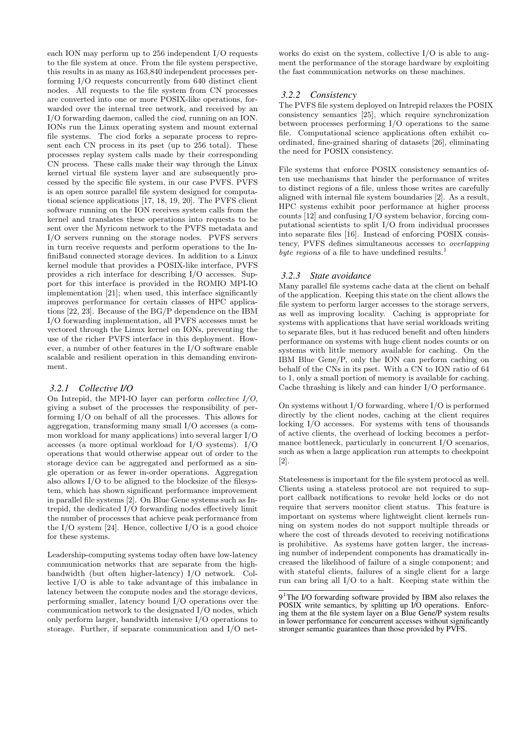each ION may perform up to 256 independent I/O requests to the file system at once. From the file system perspective, this results in as many as 163,840 independent processes performing I/O requests concurrently from 640 distinct client nodes. All requests to the file system from CN processes are converted into one or more POSIX-like operations, forwarded over the internal tree network, and received by an I/O forwarding daemon, called the ciod, running on an ION. IONs run the Linux operating system and mount external file systems. The ciod forks a separate process to represent each CN process in its pset (up to 256 total). These processes replay system calls made by their corresponding CN process. These calls make their way through the Linux kernel virtual file system layer and are subsequently processed by the specific file system, in our case PVFS. PVFS is an open source parallel file system designed for computational science applications [17, 18, 19, 20]. The PVFS client software running on the ION receives system calls from the kernel and translates these operations into requests to be sent over the Myricom network to the PVFS metadata and I/O servers running on the storage nodes. PVFS servers in turn receive requests and perform operations to the InfiniBand connected storage devices. In addition to a Linux kernel module that provides a POSIX-like interface, PVFS provides a rich interface for describing I/O accesses. Support for this interface is provided in the ROMIO MPI-IO implementation [21]; when used, this interface significantly improves performance for certain classes of HPC applications [22, 23]. Because of the BG/P dependence on the IBM I/O forwarding implementation, all PVFS accesses must be vectored through the Linux kernel on IONs, preventing the use of the richer PVFS interface in this deployment. However, a number of other features in the I/O software enable scalable and resilient operation in this demanding environment.

# *3.2.1 Collective I/O*

On Intrepid, the MPI-IO layer can perform *collective*  $I/O$ , giving a subset of the processes the responsibility of performing I/O on behalf of all the processes. This allows for aggregation, transforming many small I/O accesses (a common workload for many applications) into several larger I/O accesses (a more optimal workload for I/O systems). I/O operations that would otherwise appear out of order to the storage device can be aggregated and performed as a single operation or as fewer in-order operations. Aggregation also allows I/O to be aligned to the blocksize of the filesystem, which has shown significant performance improvement in parallel file systems [2]. On Blue Gene systems such as Intrepid, the dedicated I/O forwarding nodes effectively limit the number of processes that achieve peak performance from the I/O system [24]. Hence, collective I/O is a good choice for these systems.

Leadership-computing systems today often have low-latency communication networks that are separate from the highbandwidth (but often higher-latency) I/O network. Collective I/O is able to take advantage of this imbalance in latency between the compute nodes and the storage devices, performing smaller, latency bound I/O operations over the communication network to the designated I/O nodes, which only perform larger, bandwidth intensive I/O operations to storage. Further, if separate communication and I/O net-

works do exist on the system, collective I/O is able to augment the performance of the storage hardware by exploiting the fast communication networks on these machines.

#### *3.2.2 Consistency*

The PVFS file system deployed on Intrepid relaxes the POSIX consistency semantics [25], which require synchronization between processes performing I/O operations to the same file. Computational science applications often exhibit coordinated, fine-grained sharing of datasets [26], eliminating the need for POSIX consistency.

File systems that enforce POSIX consistency semantics often use mechanisms that hinder the performance of writes to distinct regions of a file, unless those writes are carefully aligned with internal file system boundaries [2]. As a result, HPC systems exhibit poor performance at higher process counts  $[12]$  and confusing  $I/O$  system behavior, forcing computational scientists to split I/O from individual processes into separate files [16]. Instead of enforcing POSIX consistency, PVFS defines simultaneous accesses to overlapping byte regions of a file to have undefined results. $\cdot$ 

#### *3.2.3 State avoidance*

Many parallel file systems cache data at the client on behalf of the application. Keeping this state on the client allows the file system to perform larger accesses to the storage servers. as well as improving locality. Caching is appropriate for systems with applications that have serial workloads writing to separate files, but it has reduced benefit and often hinders performance on systems with huge client nodes counts or on systems with little memory available for caching. On the IBM Blue Gene/P, only the ION can perform caching on behalf of the CNs in its pset. With a CN to ION ratio of 64 to 1, only a small portion of memory is available for caching. Cache thrashing is likely and can hinder I/O performance.

On systems without I/O forwarding, where I/O is performed directly by the client nodes, caching at the client requires locking I/O accesses. For systems with tens of thousands of active clients, the overhead of locking becomes a performance bottleneck, particularly in concurrent I/O scenarios, such as when a large application run attempts to checkpoint [2].

Statelessness is important for the file system protocol as well. Clients using a stateless protocol are not required to support callback notifications to revoke held locks or do not require that servers monitor client status. This feature is important on systems where lightweight client kernels running on system nodes do not support multiple threads or where the cost of threads devoted to receiving notifications is prohibitive. As systems have gotten larger, the increasing number of independent components has dramatically increased the likelihood of failure of a single component; and with stateful clients, failures of a single client for a large run can bring all I/O to a halt. Keeping state within the

<sup>9&</sup>lt;sup>1</sup>The I/O forwarding software provided by IBM also relaxes the POSIX write semantics, by splitting up I/O operations. Enforcing them at the file system layer on a Blue Gene/P system results in lower performance for concurrent accesses without significantly stronger semantic guarantees than those provided by PVFS.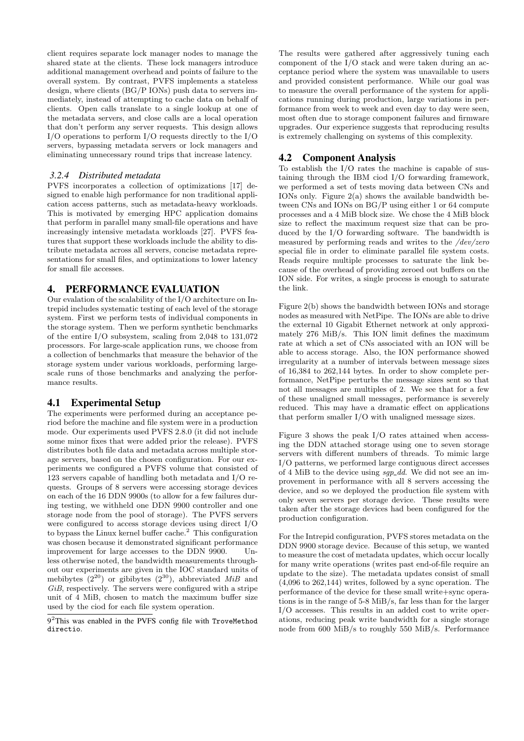client requires separate lock manager nodes to manage the shared state at the clients. These lock managers introduce additional management overhead and points of failure to the overall system. By contrast, PVFS implements a stateless design, where clients (BG/P IONs) push data to servers immediately, instead of attempting to cache data on behalf of clients. Open calls translate to a single lookup at one of the metadata servers, and close calls are a local operation that don't perform any server requests. This design allows I/O operations to perform I/O requests directly to the I/O servers, bypassing metadata servers or lock managers and eliminating unnecessary round trips that increase latency.

### *3.2.4 Distributed metadata*

PVFS incorporates a collection of optimizations [17] designed to enable high performance for non traditional application access patterns, such as metadata-heavy workloads. This is motivated by emerging HPC application domains that perform in parallel many small-file operations and have increasingly intensive metadata workloads [27]. PVFS features that support these workloads include the ability to distribute metadata across all servers, concise metadata representations for small files, and optimizations to lower latency for small file accesses.

# 4. PERFORMANCE EVALUATION

Our evalation of the scalability of the I/O architecture on Intrepid includes systematic testing of each level of the storage system. First we perform tests of individual components in the storage system. Then we perform synthetic benchmarks of the entire I/O subsystem, scaling from 2,048 to 131,072 processors. For large-scale application runs, we choose from a collection of benchmarks that measure the behavior of the storage system under various workloads, performing largescale runs of those benchmarks and analyzing the performance results.

# 4.1 Experimental Setup

The experiments were performed during an acceptance period before the machine and file system were in a production mode. Our experiments used PVFS 2.8.0 (it did not include some minor fixes that were added prior the release). PVFS distributes both file data and metadata across multiple storage servers, based on the chosen configuration. For our experiments we configured a PVFS volume that consisted of 123 servers capable of handling both metadata and I/O requests. Groups of 8 servers were accessing storage devices on each of the 16 DDN 9900s (to allow for a few failures during testing, we withheld one DDN 9900 controller and one storage node from the pool of storage). The PVFS servers were configured to access storage devices using direct I/O to bypass the Linux kernel buffer cache.<sup>2</sup> This configuration was chosen because it demonstrated significant performance improvement for large accesses to the DDN 9900. Unless otherwise noted, the bandwidth measurements throughout our experiments are given in the IOC standard units of mebibytes  $(2^{20})$  or gibibytes  $(2^{30})$ , abbreviated MiB and GiB, respectively. The servers were configured with a stripe unit of 4 MiB, chosen to match the maximum buffer size used by the ciod for each file system operation.

The results were gathered after aggressively tuning each component of the I/O stack and were taken during an acceptance period where the system was unavailable to users and provided consistent performance. While our goal was to measure the overall performance of the system for applications running during production, large variations in performance from week to week and even day to day were seen, most often due to storage component failures and firmware upgrades. Our experience suggests that reproducing results is extremely challenging on systems of this complexity.

# 4.2 Component Analysis

To establish the I/O rates the machine is capable of sustaining through the IBM ciod I/O forwarding framework, we performed a set of tests moving data between CNs and IONs only. Figure 2(a) shows the available bandwidth between CNs and IONs on BG/P using either 1 or 64 compute processes and a 4 MiB block size. We chose the 4 MiB block size to reflect the maximum request size that can be produced by the I/O forwarding software. The bandwidth is measured by performing reads and writes to the /dev/zero special file in order to eliminate parallel file system costs. Reads require multiple processes to saturate the link because of the overhead of providing zeroed out buffers on the ION side. For writes, a single process is enough to saturate the link.

Figure 2(b) shows the bandwidth between IONs and storage nodes as measured with NetPipe. The IONs are able to drive the external 10 Gigabit Ethernet network at only approximately 276 MiB/s. This ION limit defines the maximum rate at which a set of CNs associated with an ION will be able to access storage. Also, the ION performance showed irregularity at a number of intervals between message sizes of 16,384 to 262,144 bytes. In order to show complete performance, NetPipe perturbs the message sizes sent so that not all messages are multiples of 2. We see that for a few of these unaligned small messages, performance is severely reduced. This may have a dramatic effect on applications that perform smaller I/O with unaligned message sizes.

Figure 3 shows the peak I/O rates attained when accessing the DDN attached storage using one to seven storage servers with different numbers of threads. To mimic large I/O patterns, we performed large contiguous direct accesses of 4 MiB to the device using  $sgp\_dd$ . We did not see an improvement in performance with all 8 servers accessing the device, and so we deployed the production file system with only seven servers per storage device. These results were taken after the storage devices had been configured for the production configuration.

For the Intrepid configuration, PVFS stores metadata on the DDN 9900 storage device. Because of this setup, we wanted to measure the cost of metadata updates, which occur locally for many write operations (writes past end-of-file require an update to the size). The metadata updates consist of small (4,096 to 262,144) writes, followed by a sync operation. The performance of the device for these small write+sync operations is in the range of 5-8 MiB/s, far less than for the larger I/O accesses. This results in an added cost to write operations, reducing peak write bandwidth for a single storage node from 600 MiB/s to roughly 550 MiB/s. Performance

<sup>9&</sup>lt;sup>2</sup>This was enabled in the PVFS config file with TroveMethod directio.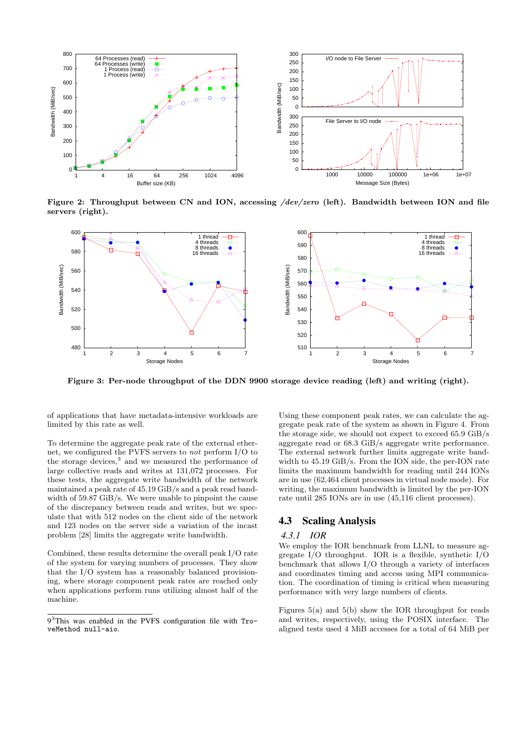

Figure 2: Throughput between CN and ION, accessing /dev/zero (left). Bandwidth between ION and file servers (right).



Figure 3: Per-node throughput of the DDN 9900 storage device reading (left) and writing (right).

of applications that have metadata-intensive workloads are limited by this rate as well.

To determine the aggregate peak rate of the external ethernet, we configured the PVFS servers to not perform I/O to the storage devices,<sup>3</sup> and we measured the performance of large collective reads and writes at 131,072 processes. For these tests, the aggregate write bandwidth of the network maintained a peak rate of 45.19 GiB/s and a peak read bandwidth of 59.87 GiB/s. We were unable to pinpoint the cause of the discrepancy between reads and writes, but we speculate that with 512 nodes on the client side of the network and 123 nodes on the server side a variation of the incast problem [28] limits the aggregate write bandwidth.

Combined, these results determine the overall peak I/O rate of the system for varying numbers of processes. They show that the I/O system has a reasonably balanced provisioning, where storage component peak rates are reached only when applications perform runs utilizing almost half of the machine.

Using these component peak rates, we can calculate the aggregate peak rate of the system as shown in Figure 4. From the storage side, we should not expect to exceed 65.9 GiB/s aggregate read or 68.3 GiB/s aggregate write performance. The external network further limits aggregate write bandwidth to 45.19 GiB/s. From the ION side, the per-ION rate limits the maximum bandwidth for reading until 244 IONs are in use (62,464 client processes in virtual node mode). For writing, the maximum bandwidth is limited by the per-ION rate until 285 IONs are in use (45,116 client processes).

# 4.3 Scaling Analysis

#### *4.3.1 IOR*

We employ the IOR benchmark from LLNL to measure aggregate I/O throughput. IOR is a flexible, synthetic I/O benchmark that allows I/O through a variety of interfaces and coordinates timing and access using MPI communication. The coordination of timing is critical when measuring performance with very large numbers of clients.

Figures 5(a) and 5(b) show the IOR throughput for reads and writes, respectively, using the POSIX interface. The aligned tests used 4 MiB accesses for a total of 64 MiB per

<sup>9</sup> <sup>3</sup>This was enabled in the PVFS configuration file with TroveMethod null-aio.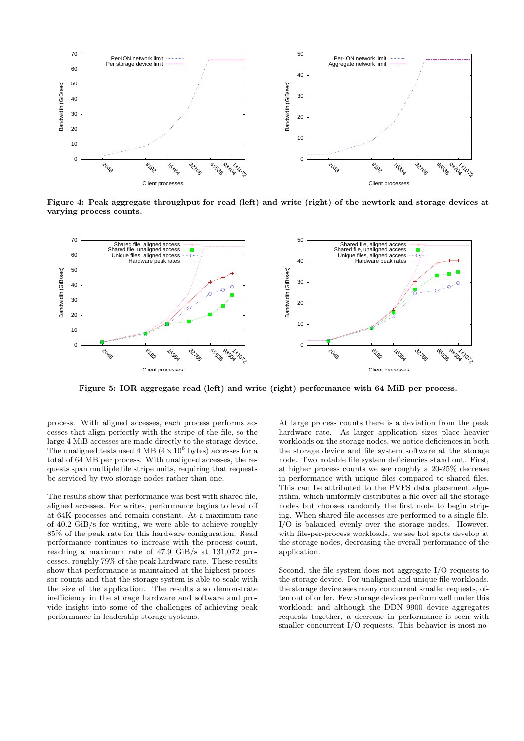

Figure 4: Peak aggregate throughput for read (left) and write (right) of the newtork and storage devices at varying process counts.



Figure 5: IOR aggregate read (left) and write (right) performance with 64 MiB per process.

process. With aligned accesses, each process performs accesses that align perfectly with the stripe of the file, so the large 4 MiB accesses are made directly to the storage device. The unaligned tests used 4 MB  $(4\times10^6$  bytes) accesses for a total of 64 MB per process. With unaligned accesses, the requests span multiple file stripe units, requiring that requests be serviced by two storage nodes rather than one.

The results show that performance was best with shared file, aligned accesses. For writes, performance begins to level off at 64K processes and remain constant. At a maximum rate of 40.2 GiB/s for writing, we were able to achieve roughly 85% of the peak rate for this hardware configuration. Read performance continues to increase with the process count, reaching a maximum rate of 47.9 GiB/s at 131,072 processes, roughly 79% of the peak hardware rate. These results show that performance is maintained at the highest processor counts and that the storage system is able to scale with the size of the application. The results also demonstrate inefficiency in the storage hardware and software and provide insight into some of the challenges of achieving peak performance in leadership storage systems.

At large process counts there is a deviation from the peak hardware rate. As larger application sizes place heavier workloads on the storage nodes, we notice deficiences in both the storage device and file system software at the storage node. Two notable file system deficiencies stand out. First, at higher process counts we see roughly a 20-25% decrease in performance with unique files compared to shared files. This can be attributed to the PVFS data placement algorithm, which uniformly distributes a file over all the storage nodes but chooses randomly the first node to begin striping. When shared file accesses are performed to a single file, I/O is balanced evenly over the storage nodes. However, with file-per-process workloads, we see hot spots develop at the storage nodes, decreasing the overall performance of the application.

Second, the file system does not aggregate I/O requests to the storage device. For unaligned and unique file workloads, the storage device sees many concurrent smaller requests, often out of order. Few storage devices perform well under this workload; and although the DDN 9900 device aggregates requests together, a decrease in performance is seen with smaller concurrent I/O requests. This behavior is most no-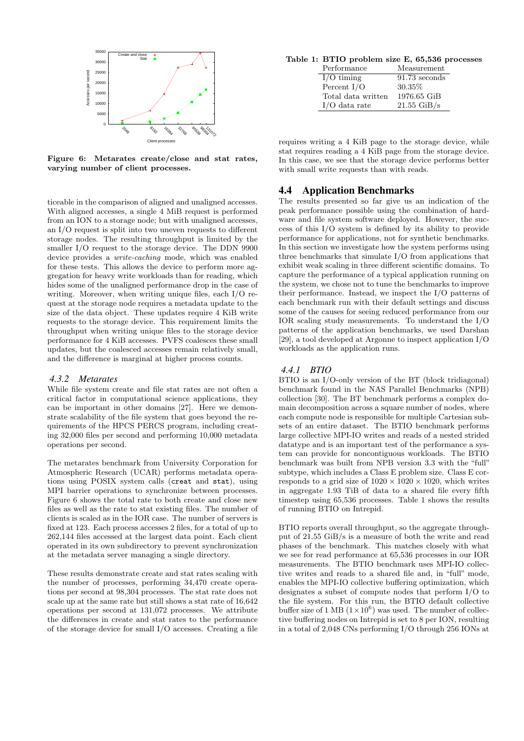

Figure 6: Metarates create/close and stat rates, varying number of client processes.

ticeable in the comparison of aligned and unaligned accesses. With aligned accesses, a single 4 MiB request is performed from an ION to a storage node; but with unaligned accesses, an I/O request is split into two uneven requests to different storage nodes. The resulting throughput is limited by the smaller I/O request to the storage device. The DDN 9900 device provides a write-caching mode, which was enabled for these tests. This allows the device to perform more aggregation for heavy write workloads than for reading, which hides some of the unaligned performance drop in the case of writing. Moreover, when writing unique files, each I/O request at the storage node requires a metadata update to the size of the data object. These updates require 4 KiB write requests to the storage device. This requirement limits the throughput when writing unique files to the storage device performance for 4 KiB accesses. PVFS coalesces these small updates, but the coalesced accesses remain relatively small, and the difference is marginal at higher process counts.

#### *4.3.2 Metarates*

While file system create and file stat rates are not often a critical factor in computational science applications, they can be important in other domains [27]. Here we demonstrate scalability of the file system that goes beyond the requirements of the HPCS PERCS program, including creating 32,000 files per second and performing 10,000 metadata operations per second.

The metarates benchmark from University Corporation for Atmospheric Research (UCAR) performs metadata operations using POSIX system calls (creat and stat), using MPI barrier operations to synchronize between processes. Figure 6 shows the total rate to both create and close new files as well as the rate to stat existing files. The number of clients is scaled as in the IOR case. The number of servers is fixed at 123. Each process accesses 2 files, for a total of up to 262,144 files accessed at the largest data point. Each client operated in its own subdirectory to prevent synchronization at the metadata server managing a single directory.

These results demonstrate create and stat rates scaling with the number of processes, performing 34,470 create operations per second at 98,304 processes. The stat rate does not scale up at the same rate but still shows a stat rate of 16,642 operations per second at 131,072 processes. We attribute the differences in create and stat rates to the performance of the storage device for small I/O accesses. Creating a file

Table 1: BTIO problem size E, 65,536 processes

| Performance        | Measurement     |
|--------------------|-----------------|
| $I/O$ timing       | $91.73$ seconds |
| Percent $I/O$      | 30.35%          |
| Total data written | 1976.65 GiB     |
| $I/O$ data rate    | $21.55$ GiB/s   |

requires writing a 4 KiB page to the storage device, while stat requires reading a 4 KiB page from the storage device. In this case, we see that the storage device performs better with small write requests than with reads.

# 4.4 Application Benchmarks

The results presented so far give us an indication of the peak performance possible using the combination of hardware and file system software deployed. However, the success of this I/O system is defined by its ability to provide performance for applications, not for synthetic benchmarks. In this section we investigate how the system performs using three benchmarks that simulate I/O from applications that exhibit weak scaling in three different scientific domains. To capture the performance of a typical application running on the system, we chose not to tune the benchmarks to improve their performance. Instead, we inspect the I/O patterns of each benchmark run with their default settings and discuss some of the causes for seeing reduced performance from our IOR scaling study measurements. To understand the I/O patterns of the application benchmarks, we used Darshan [29], a tool developed at Argonne to inspect application I/O workloads as the application runs.

### *4.4.1 BTIO*

BTIO is an I/O-only version of the BT (block tridiagonal) benchmark found in the NAS Parallel Benchmarks (NPB) collection [30]. The BT benchmark performs a complex domain decomposition across a square number of nodes, where each compute node is responsible for multiple Cartesian subsets of an entire dataset. The BTIO benchmark performs large collective MPI-IO writes and reads of a nested strided datatype and is an important test of the performance a system can provide for noncontiguous workloads. The BTIO benchmark was built from NPB version 3.3 with the "full" subtype, which includes a Class E problem size. Class E corresponds to a grid size of  $1020 \times 1020 \times 1020$ , which writes in aggregate 1.93 TiB of data to a shared file every fifth timestep using 65,536 processes. Table 1 shows the results of running BTIO on Intrepid.

BTIO reports overall throughput, so the aggregate throughput of 21.55 GiB/s is a measure of both the write and read phases of the benchmark. This matches closely with what we see for read performance at 65,536 processes in our IOR measurements. The BTIO benchmark uses MPI-IO collective writes and reads to a shared file and, in "full" mode, enables the MPI-IO collective buffering optimization, which designates a subset of compute nodes that perform I/O to the file system. For this run, the BTIO default collective buffer size of 1 MB  $(1 \times 10^6)$  was used. The number of collective buffering nodes on Intrepid is set to 8 per ION, resulting in a total of 2,048 CNs performing I/O through 256 IONs at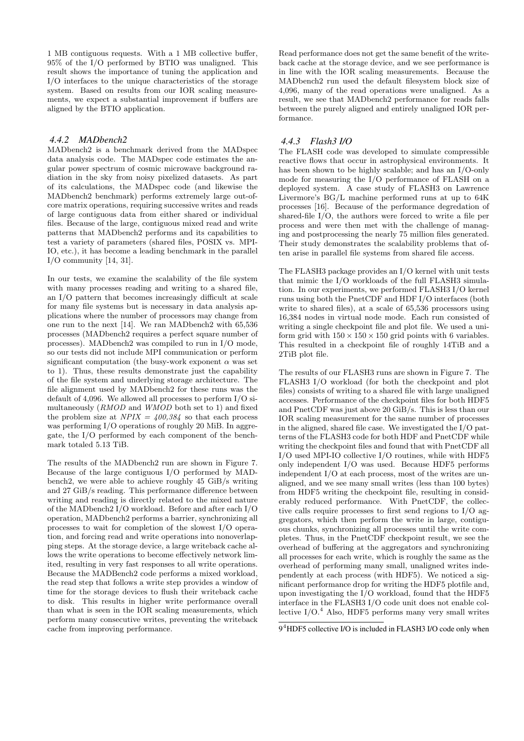1 MB contiguous requests. With a 1 MB collective buffer, 95% of the I/O performed by BTIO was unaligned. This result shows the importance of tuning the application and I/O interfaces to the unique characteristics of the storage system. Based on results from our IOR scaling measurements, we expect a substantial improvement if buffers are aligned by the BTIO application.

### *4.4.2 MADbench2*

MADbench2 is a benchmark derived from the MADspec data analysis code. The MADspec code estimates the angular power spectrum of cosmic microwave background radiation in the sky from noisy pixelized datasets. As part of its calculations, the MADspec code (and likewise the MADbench2 benchmark) performs extremely large out-ofcore matrix operations, requiring successive writes and reads of large contiguous data from either shared or individual files. Because of the large, contiguous mixed read and write patterns that MADbench2 performs and its capabilities to test a variety of parameters (shared files, POSIX vs. MPI-IO, etc.), it has become a leading benchmark in the parallel  $I/O$  community [14, 31].

In our tests, we examine the scalability of the file system with many processes reading and writing to a shared file, an I/O pattern that becomes increasingly difficult at scale for many file systems but is necessary in data analysis applications where the number of processors may change from one run to the next [14]. We ran MADbench2 with 65,536 processes (MADbench2 requires a perfect square number of processes). MADbench2 was compiled to run in I/O mode, so our tests did not include MPI communication or perform significant computation (the busy-work exponent  $\alpha$  was set to 1). Thus, these results demonstrate just the capability of the file system and underlying storage architecture. The file alignment used by MADbench2 for these runs was the default of 4,096. We allowed all processes to perform I/O simultaneously (RMOD and WMOD both set to 1) and fixed the problem size at  $NPIX = 400,384$  so that each process was performing I/O operations of roughly 20 MiB. In aggregate, the I/O performed by each component of the benchmark totaled 5.13 TiB.

The results of the MADbench2 run are shown in Figure 7. Because of the large contiguous I/O performed by MADbench2, we were able to achieve roughly 45 GiB/s writing and 27 GiB/s reading. This performance difference between writing and reading is directly related to the mixed nature of the MADbench2 I/O workload. Before and after each I/O operation, MADbench2 performs a barrier, synchronizing all processes to wait for completion of the slowest I/O operation, and forcing read and write operations into nonoverlapping steps. At the storage device, a large writeback cache allows the write operations to become effectively network limited, resulting in very fast responses to all write operations. Because the MADBench2 code performs a mixed workload, the read step that follows a write step provides a window of time for the storage devices to flush their writeback cache to disk. This results in higher write performance overall than what is seen in the IOR scaling measurements, which perform many consecutive writes, preventing the writeback cache from improving performance.

Read performance does not get the same benefit of the writeback cache at the storage device, and we see performance is in line with the IOR scaling measurements. Because the MADbench2 run used the default filesystem block size of 4,096, many of the read operations were unaligned. As a result, we see that MADbench2 performance for reads falls between the purely aligned and entirely unaligned IOR performance.

# *4.4.3 Flash3 I/O*

The FLASH code was developed to simulate compressible reactive flows that occur in astrophysical environments. It has been shown to be highly scalable; and has an I/O-only mode for measuring the I/O performance of FLASH on a deployed system. A case study of FLASH3 on Lawrence Livermore's BG/L machine performed runs at up to 64K processes [16]. Because of the performance degredation of shared-file I/O, the authors were forced to write a file per process and were then met with the challenge of managing and postprocessing the nearly 75 million files generated. Their study demonstrates the scalability problems that often arise in parallel file systems from shared file access.

The FLASH3 package provides an I/O kernel with unit tests that mimic the I/O workloads of the full FLASH3 simulation. In our experiments, we performed FLASH3 I/O kernel runs using both the PnetCDF and HDF I/O interfaces (both write to shared files), at a scale of 65,536 processors using 16,384 nodes in virtual node mode. Each run consisted of writing a single checkpoint file and plot file. We used a uniform grid with  $150 \times 150 \times 150$  grid points with 6 variables. This resulted in a checkpoint file of roughly 14TiB and a 2TiB plot file.

The results of our FLASH3 runs are shown in Figure 7. The FLASH3 I/O workload (for both the checkpoint and plot files) consists of writing to a shared file with large unaligned accesses. Performance of the checkpoint files for both HDF5 and PnetCDF was just above 20 GiB/s. This is less than our IOR scaling measurement for the same number of processes in the aligned, shared file case. We investigated the I/O patterns of the FLASH3 code for both HDF and PnetCDF while writing the checkpoint files and found that with PnetCDF all I/O used MPI-IO collective I/O routines, while with HDF5 only independent I/O was used. Because HDF5 performs independent I/O at each process, most of the writes are unaligned, and we see many small writes (less than 100 bytes) from HDF5 writing the checkpoint file, resulting in considerably reduced performance. With PnetCDF, the collective calls require processes to first send regions to I/O aggregators, which then perform the write in large, contiguous chunks, synchronizing all processes until the write completes. Thus, in the PnetCDF checkpoint result, we see the overhead of buffering at the aggregators and synchronizing all processes for each write, which is roughly the same as the overhead of performing many small, unaligned writes independently at each process (with HDF5). We noticed a significant performance drop for writing the HDF5 plotfile and, upon investigating the I/O workload, found that the HDF5 interface in the FLASH3 I/O code unit does not enable collective  $I/O.<sup>4</sup>$  Also, HDF5 performs many very small writes

<sup>9&</sup>lt;sup>4</sup>HDF5 collective I/O is included in FLASH3 I/O code only when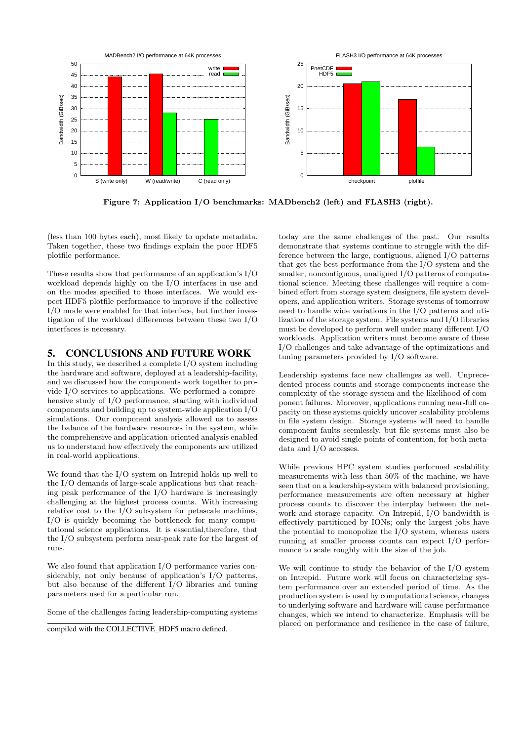

Figure 7: Application I/O benchmarks: MADbench2 (left) and FLASH3 (right).

(less than 100 bytes each), most likely to update metadata. Taken together, these two findings explain the poor HDF5 plotfile performance.

These results show that performance of an application's I/O workload depends highly on the I/O interfaces in use and on the modes specified to those interfaces. We would expect HDF5 plotfile performance to improve if the collective I/O mode were enabled for that interface, but further investigation of the workload differences between these two I/O interfaces is necessary.

# 5. CONCLUSIONS AND FUTURE WORK

In this study, we described a complete I/O system including the hardware and software, deployed at a leadership-facility, and we discussed how the components work together to provide I/O services to applications. We performed a comprehensive study of I/O performance, starting with individual components and building up to system-wide application I/O simulations. Our component analysis allowed us to assess the balance of the hardware resources in the system, while the comprehensive and application-oriented analysis enabled us to understand how effectively the components are utilized in real-world applications.

We found that the I/O system on Intrepid holds up well to the I/O demands of large-scale applications but that reaching peak performance of the I/O hardware is increasingly challenging at the highest process counts. With increasing relative cost to the I/O subsystem for petascale machines, I/O is quickly becoming the bottleneck for many computational science applications. It is essential,therefore, that the I/O subsystem perform near-peak rate for the largest of runs.

We also found that application I/O performance varies considerably, not only because of application's I/O patterns, but also because of the different I/O libraries and tuning parameters used for a particular run.

Some of the challenges facing leadership-computing systems

compiled with the COLLECTIVE\_HDF5 macro defined.

today are the same challenges of the past. Our results demonstrate that systems continue to struggle with the difference between the large, contiguous, aligned I/O patterns that get the best performance from the I/O system and the smaller, noncontiguous, unaligned I/O patterns of computational science. Meeting these challenges will require a combined effort from storage system designers, file system developers, and application writers. Storage systems of tomorrow need to handle wide variations in the I/O patterns and utilization of the storage system. File systems and I/O libraries must be developed to perform well under many different I/O workloads. Application writers must become aware of these I/O challenges and take advantage of the optimizations and tuning parameters provided by I/O software.

Leadership systems face new challenges as well. Unprecedented process counts and storage components increase the complexity of the storage system and the likelihood of component failures. Moreover, applications running near-full capacity on these systems quickly uncover scalability problems in file system design. Storage systems will need to handle component faults seemlessly, but file systems must also be designed to avoid single points of contention, for both metadata and I/O accesses.

While previous HPC system studies performed scalability measurements with less than 50% of the machine, we have seen that on a leadership-system with balanced provisioning, performance measurements are often necessary at higher process counts to discover the interplay between the network and storage capacity. On Intrepid, I/O bandwidth is effectively partitioned by IONs; only the largest jobs have the potential to monopolize the I/O system, whereas users running at smaller process counts can expect I/O performance to scale roughly with the size of the job.

We will continue to study the behavior of the I/O system on Intrepid. Future work will focus on characterizing system performance over an extended period of time. As the production system is used by computational science, changes to underlying software and hardware will cause performance changes, which we intend to characterize. Emphasis will be placed on performance and resilience in the case of failure,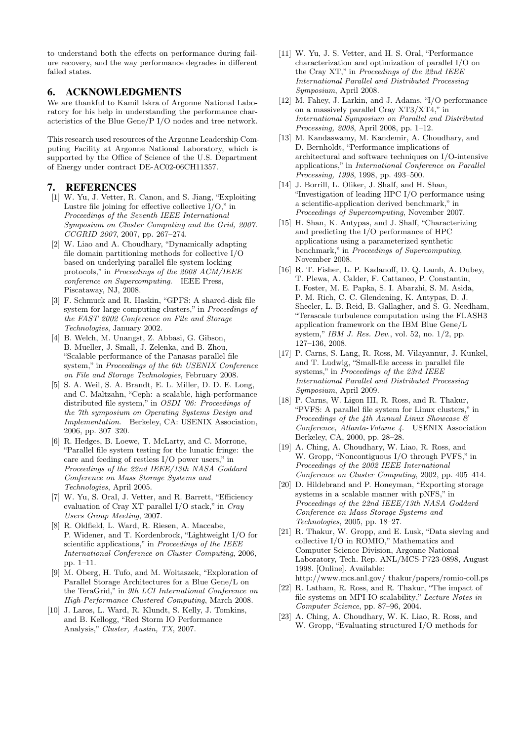to understand both the effects on performance during failure recovery, and the way performance degrades in different failed states.

# 6. ACKNOWLEDGMENTS

We are thankful to Kamil Iskra of Argonne National Laboratory for his help in understanding the performance characteristics of the Blue Gene/P I/O nodes and tree network.

This research used resources of the Argonne Leadership Computing Facility at Argonne National Laboratory, which is supported by the Office of Science of the U.S. Department of Energy under contract DE-AC02-06CH11357.

### 7. REFERENCES

- [1] W. Yu, J. Vetter, R. Canon, and S. Jiang, "Exploiting Lustre file joining for effective collective I/O," in Proceedings of the Seventh IEEE International Symposium on Cluster Computing and the Grid, 2007. CCGRID 2007, 2007, pp. 267–274.
- [2] W. Liao and A. Choudhary, "Dynamically adapting file domain partitioning methods for collective I/O based on underlying parallel file system locking protocols," in Proceedings of the 2008 ACM/IEEE conference on Supercomputing. IEEE Press, Piscataway, NJ, 2008.
- [3] F. Schmuck and R. Haskin, "GPFS: A shared-disk file system for large computing clusters," in Proceedings of the FAST 2002 Conference on File and Storage Technologies, January 2002.
- [4] B. Welch, M. Unangst, Z. Abbasi, G. Gibson, B. Mueller, J. Small, J. Zelenka, and B. Zhou, "Scalable performance of the Panasas parallel file system," in Proceedings of the 6th USENIX Conference on File and Storage Technologies, February 2008.
- [5] S. A. Weil, S. A. Brandt, E. L. Miller, D. D. E. Long, and C. Maltzahn, "Ceph: a scalable, high-performance distributed file system," in OSDI '06: Proceedings of the 7th symposium on Operating Systems Design and Implementation. Berkeley, CA: USENIX Association, 2006, pp. 307–320.
- [6] R. Hedges, B. Loewe, T. McLarty, and C. Morrone, "Parallel file system testing for the lunatic fringe: the care and feeding of restless I/O power users," in Proceedings of the 22nd IEEE/13th NASA Goddard Conference on Mass Storage Systems and Technologies, April 2005.
- [7] W. Yu, S. Oral, J. Vetter, and R. Barrett, "Efficiency evaluation of Cray XT parallel I/O stack," in Cray Users Group Meeting, 2007.
- [8] R. Oldfield, L. Ward, R. Riesen, A. Maccabe, P. Widener, and T. Kordenbrock, "Lightweight I/O for scientific applications," in Proceedings of the IEEE International Conference on Cluster Computing, 2006, pp. 1–11.
- [9] M. Oberg, H. Tufo, and M. Woitaszek, "Exploration of Parallel Storage Architectures for a Blue Gene/L on the TeraGrid," in 9th LCI International Conference on High-Performance Clustered Computing, March 2008.
- [10] J. Laros, L. Ward, R. Klundt, S. Kelly, J. Tomkins, and B. Kellogg, "Red Storm IO Performance Analysis," Cluster, Austin, TX, 2007.
- [11] W. Yu, J. S. Vetter, and H. S. Oral, "Performance characterization and optimization of parallel I/O on the Cray XT," in Proceedings of the 22nd IEEE International Parallel and Distributed Processing Symposium, April 2008.
- [12] M. Fahey, J. Larkin, and J. Adams, "I/O performance on a massively parallel Cray XT3/XT4," in International Symposium on Parallel and Distributed Processing, 2008, April 2008, pp. 1–12.
- [13] M. Kandaswamy, M. Kandemir, A. Choudhary, and D. Bernholdt, "Performance implications of architectural and software techniques on I/O-intensive applications," in International Conference on Parallel Processing, 1998, 1998, pp. 493–500.
- [14] J. Borrill, L. Oliker, J. Shalf, and H. Shan, "Investigation of leading HPC I/O performance using a scientific-application derived benchmark," in Proceedings of Supercomputing, November 2007.
- [15] H. Shan, K. Antypas, and J. Shalf, "Characterizing and predicting the I/O performance of HPC applications using a parameterized synthetic benchmark," in Proceedings of Supercomputing, November 2008.
- [16] R. T. Fisher, L. P. Kadanoff, D. Q. Lamb, A. Dubey, T. Plewa, A. Calder, F. Cattaneo, P. Constantin, I. Foster, M. E. Papka, S. I. Abarzhi, S. M. Asida, P. M. Rich, C. C. Glendening, K. Antypas, D. J. Sheeler, L. B. Reid, B. Gallagher, and S. G. Needham, "Terascale turbulence computation using the FLASH3 application framework on the IBM Blue Gene/L system," IBM J. Res. Dev., vol. 52, no. 1/2, pp. 127–136, 2008.
- [17] P. Carns, S. Lang, R. Ross, M. Vilayannur, J. Kunkel, and T. Ludwig, "Small-file access in parallel file systems," in Proceedings of the 23rd IEEE International Parallel and Distributed Processing Symposium, April 2009.
- [18] P. Carns, W. Ligon III, R. Ross, and R. Thakur, "PVFS: A parallel file system for Linux clusters," in Proceedings of the 4th Annual Linux Showcase  $\mathcal{B}$ Conference, Atlanta-Volume 4. USENIX Association Berkeley, CA, 2000, pp. 28–28.
- [19] A. Ching, A. Choudhary, W. Liao, R. Ross, and W. Gropp, "Noncontiguous I/O through PVFS," in Proceedings of the 2002 IEEE International Conference on Cluster Computing, 2002, pp. 405–414.
- [20] D. Hildebrand and P. Honeyman, "Exporting storage systems in a scalable manner with pNFS," in Proceedings of the 22nd IEEE/13th NASA Goddard Conference on Mass Storage Systems and Technologies, 2005, pp. 18–27.
- [21] R. Thakur, W. Gropp, and E. Lusk, "Data sieving and collective I/O in ROMIO," Mathematics and Computer Science Division, Argonne National Laboratory, Tech. Rep. ANL/MCS-P723-0898, August 1998. [Online]. Available: http://www.mcs.anl.gov/ thakur/papers/romio-coll.ps
- [22] R. Latham, R. Ross, and R. Thakur, "The impact of file systems on MPI-IO scalability," Lecture Notes in Computer Science, pp. 87–96, 2004.
- [23] A. Ching, A. Choudhary, W. K. Liao, R. Ross, and W. Gropp, "Evaluating structured I/O methods for